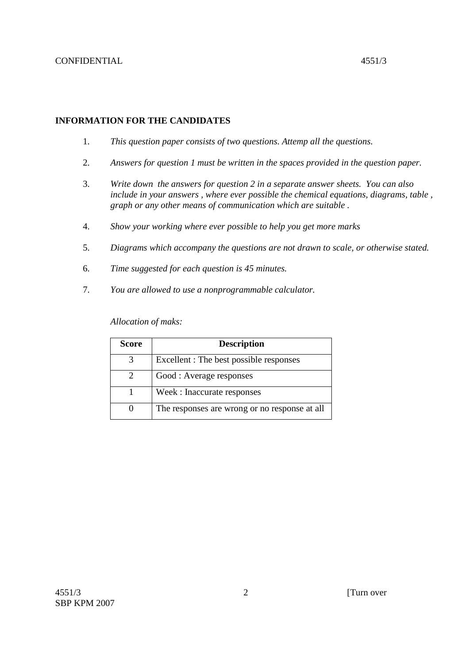# **INFORMATION FOR THE CANDIDATES**

- 1. *This question paper consists of two questions. Attemp all the questions.*
- 2. *Answers for question 1 must be written in the spaces provided in the question paper.*
- 3. *Write down the answers for question 2 in a separate answer sheets. You can also include in your answers , where ever possible the chemical equations, diagrams, table , graph or any other means of communication which are suitable .*
- 4. *Show your working where ever possible to help you get more marks*
- 5. *Diagrams which accompany the questions are not drawn to scale, or otherwise stated.*
- 6. *Time suggested for each question is 45 minutes.*
- 7. *You are allowed to use a nonprogrammable calculator.*

*Allocation of maks:* 

| Score             | <b>Description</b>                            |
|-------------------|-----------------------------------------------|
| 3                 | Excellent : The best possible responses       |
| 2                 | Good : Average responses                      |
|                   | Week: Inaccurate responses                    |
| $\mathbf{\Omega}$ | The responses are wrong or no response at all |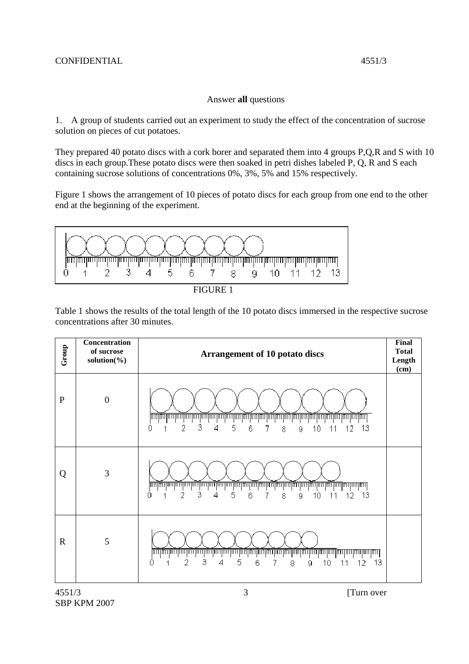## Answer **all** questions

1. A group of students carried out an experiment to study the effect of the concentration of sucrose solution on pieces of cut potatoes.

They prepared 40 potato discs with a cork borer and separated them into 4 groups P,Q,R and S with 10 discs in each group.These potato discs were then soaked in petri dishes labeled P, Q, R and S each containing sucrose solutions of concentrations 0%, 3%, 5% and 15% respectively.

Figure 1 shows the arrangement of 10 pieces of potato discs for each group from one end to the other end at the beginning of the experiment.



FIGURE 1

Table 1 shows the results of the total length of the 10 potato discs immersed in the respective sucrose concentrations after 30 minutes.

| Group       | Concentration<br>of sucrose<br>solution(%) | <b>Arrangement of 10 potato discs</b>                                                                                                                                                                                                     | <b>Final</b><br><b>Total</b><br>Length<br>(cm) |
|-------------|--------------------------------------------|-------------------------------------------------------------------------------------------------------------------------------------------------------------------------------------------------------------------------------------------|------------------------------------------------|
| ${\bf P}$   | $\boldsymbol{0}$                           | णागामा<br>3<br>2<br>5<br>4<br>6<br>13<br>8<br>O<br>1<br>9<br>10<br>12                                                                                                                                                                     |                                                |
| Q           | 3                                          | 3<br>2<br>5<br>6<br>4<br>8<br>10 <sup>°</sup><br>13<br>0<br>7<br>12<br>9<br>11<br>1                                                                                                                                                       |                                                |
| $\mathbf R$ | 5                                          | <u> INI INI INI INI INI INI INI I</u><br><u> INTERNATIONAL (INTERNATIONAL INTERNATIONAL INTERNATIONAL INTERNATIONAL INTERNATIONAL INTERNATIONAL INTERNATION</u><br>3<br>2<br>5<br>13<br>4<br>6<br>8<br>N<br>7<br>9<br>10<br>11<br>12<br>4 |                                                |
| 4551/3      |                                            | 3<br>[Turn over                                                                                                                                                                                                                           |                                                |

SBP KPM 2007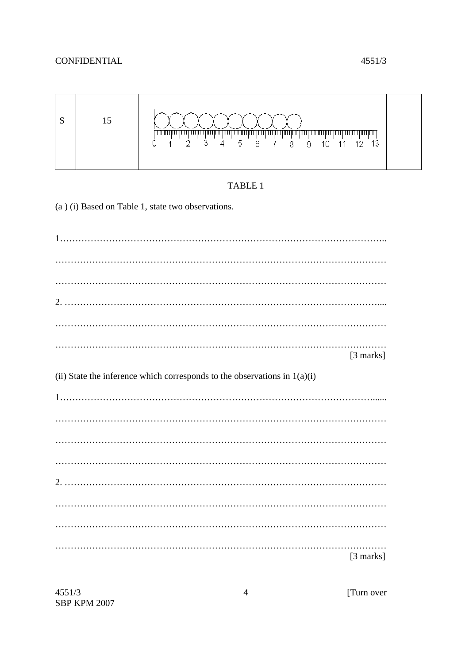## **CONFIDENTIAL**



# TABLE 1

(a) (i) Based on Table 1, state two observations.

[3 marks] (ii) State the inference which corresponds to the observations in  $1(a)(i)$ [3 marks]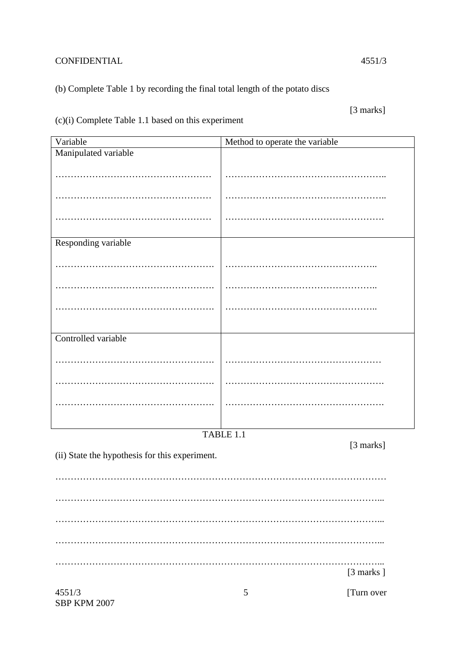# CONFIDENTIAL 4551/3

# (b) Complete Table 1 by recording the final total length of the potato discs

[3 marks]

(c)(i) Complete Table 1.1 based on this experiment

| Variable                                                    | Method to operate the variable |  |  |  |  |
|-------------------------------------------------------------|--------------------------------|--|--|--|--|
| Manipulated variable                                        |                                |  |  |  |  |
|                                                             |                                |  |  |  |  |
|                                                             |                                |  |  |  |  |
|                                                             |                                |  |  |  |  |
| Responding variable                                         |                                |  |  |  |  |
|                                                             |                                |  |  |  |  |
|                                                             |                                |  |  |  |  |
|                                                             |                                |  |  |  |  |
|                                                             |                                |  |  |  |  |
| Controlled variable                                         |                                |  |  |  |  |
|                                                             |                                |  |  |  |  |
|                                                             |                                |  |  |  |  |
|                                                             |                                |  |  |  |  |
|                                                             | TABLE 1.1                      |  |  |  |  |
|                                                             |                                |  |  |  |  |
| [3 marks]<br>(ii) State the hypothesis for this experiment. |                                |  |  |  |  |
|                                                             |                                |  |  |  |  |
|                                                             |                                |  |  |  |  |
|                                                             |                                |  |  |  |  |
|                                                             |                                |  |  |  |  |
|                                                             | [3 marks]                      |  |  |  |  |
| 4551/3<br><b>SBP KPM 2007</b>                               | [Turn over<br>5                |  |  |  |  |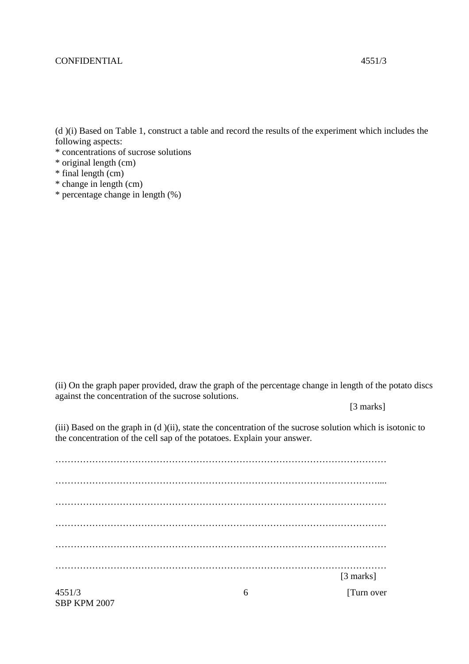#### CONFIDENTIAL 4551/3

(d )(i) Based on Table 1, construct a table and record the results of the experiment which includes the following aspects:

- \* concentrations of sucrose solutions
- \* original length (cm)
- \* final length (cm)
- \* change in length (cm)
- \* percentage change in length (%)

(ii) On the graph paper provided, draw the graph of the percentage change in length of the potato discs against the concentration of the sucrose solutions.

[3 marks]

(iii) Based on the graph in (d )(ii), state the concentration of the sucrose solution which is isotonic to the concentration of the cell sap of the potatoes. Explain your answer.

 $4551/3$  [Turn over 6 ……………………………………………………………………………………………… …………………………………………………………………………………………….... . The contribution of the contribution of the contribution of the contribution of the contribution of the contribution of the contribution of the contribution of the contribution of the contribution of the contribution of ……………………………………………………………………………………………… ……………………………………………………………………………………………… ……………………………………………………………………………………………… [3 marks]

SBP KPM 2007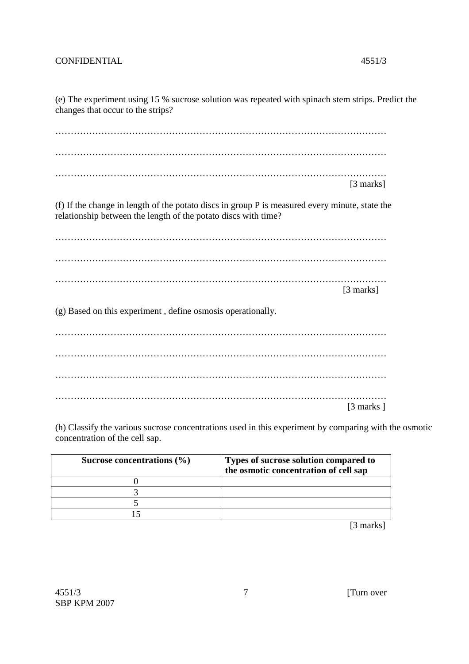### CONFIDENTIAL 4551/3

(e) The experiment using 15 % sucrose solution was repeated with spinach stem strips. Predict the changes that occur to the strips?

……………………………………………………………………………………………… ……………………………………………………………………………………………… ……………………………………………………………………………………………… [3 marks]

(f) If the change in length of the potato discs in group P is measured every minute, state the relationship between the length of the potato discs with time?

………………………………………………………………………………………………  $\mathcal{L}$  . The contract of the contract of the contract of the contract of the contract of the contract of the contract of the contract of the contract of the contract of the contract of the contract of the contract of th ……………………………………………………………………………………………… [3 marks]

(g) Based on this experiment , define osmosis operationally.

|  | $[3 \text{ marks}]$ |
|--|---------------------|

(h) Classify the various sucrose concentrations used in this experiment by comparing with the osmotic concentration of the cell sap.

| Sucrose concentrations $(\% )$ | Types of sucrose solution compared to<br>the osmotic concentration of cell sap |
|--------------------------------|--------------------------------------------------------------------------------|
|                                |                                                                                |
|                                |                                                                                |
|                                |                                                                                |
|                                |                                                                                |

[3 marks]